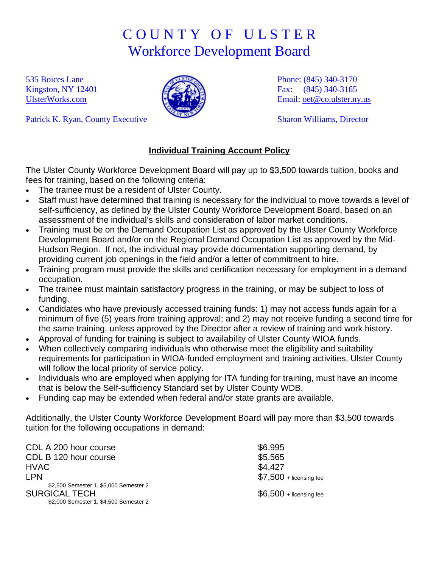## C O U N T Y O F U L S T E R Workforce Development Board

535 Boices Lane Kingston, NY 12401 [UlsterWorks.com](http://www.ulsterworks.com/)



Phone: (845) 340-3170 Fax: (845) 340-3165 Email: [oet@co.ulster.ny.us](mailto:oet@co.ulster.ny.us)

Sharon Williams, Director

Patrick K. Ryan, County Executive

## **Individual Training Account Policy**

The Ulster County Workforce Development Board will pay up to \$3,500 towards tuition, books and fees for training, based on the following criteria:

- The trainee must be a resident of Ulster County.
- Staff must have determined that training is necessary for the individual to move towards a level of self-sufficiency, as defined by the Ulster County Workforce Development Board, based on an assessment of the individual's skills and consideration of labor market conditions.
- Training must be on the Demand Occupation List as approved by the Ulster County Workforce Development Board and/or on the Regional Demand Occupation List as approved by the Mid-Hudson Region. If not, the individual may provide documentation supporting demand, by providing current job openings in the field and/or a letter of commitment to hire.
- Training program must provide the skills and certification necessary for employment in a demand occupation.
- The trainee must maintain satisfactory progress in the training, or may be subject to loss of funding.
- Candidates who have previously accessed training funds: 1) may not access funds again for a minimum of five (5) years from training approval; and 2) may not receive funding a second time for the same training, unless approved by the Director after a review of training and work history.
- Approval of funding for training is subject to availability of Ulster County WIOA funds.
- When collectively comparing individuals who otherwise meet the eligibility and suitability requirements for participation in WIOA-funded employment and training activities, Ulster County will follow the local priority of service policy.
- Individuals who are employed when applying for ITA funding for training, must have an income that is below the Self-sufficiency Standard set by Ulster County WDB.
- Funding cap may be extended when federal and/or state grants are available.

Additionally, the Ulster County Workforce Development Board will pay more than \$3,500 towards tuition for the following occupations in demand:

| CDL A 200 hour course                  | \$6,995                  |
|----------------------------------------|--------------------------|
| CDL B 120 hour course                  | \$5,565                  |
| <b>HVAC</b>                            | \$4,427                  |
| <b>LPN</b>                             | $$7,500 +$ licensing fee |
| \$2,500 Semester 1, \$5,000 Semester 2 |                          |
| <b>SURGICAL TECH</b>                   | $$6,500 +$ licensing fee |
| \$2,000 Semester 1, \$4,500 Semester 2 |                          |
|                                        |                          |